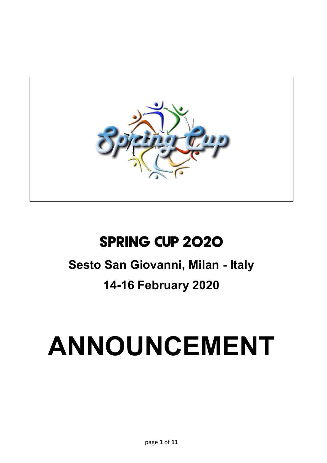

## **Spring Cup 2020**

## **Sesto San Giovanni, Milan - Italy**

## **14-16 February 2020**

# **ANNOUNCEMENT**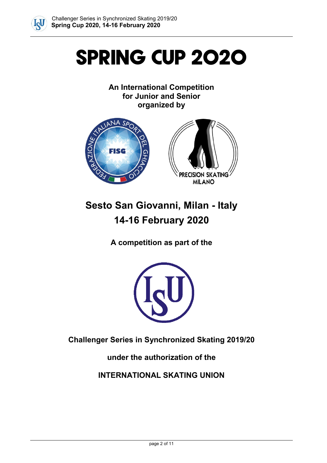

## **Spring Cup 2020**

## **An International Competition for Junior and Senior organized by**



## **Sesto San Giovanni, Milan - Italy 14-16 February 2020**

**A competition as part of the**



**Challenger Series in Synchronized Skating 2019/20**

**under the authorization of the** 

**INTERNATIONAL SKATING UNION**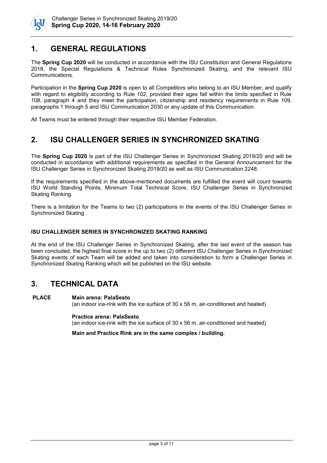

## **1. GENERAL REGULATIONS**

The **Spring Cup 2020** will be conducted in accordance with the ISU Constitution and General Regulations 2018, the Special Regulations & Technical Rules Synchronized Skating, and the relevant ISU Communications.

Participation in the **Spring Cup 2020** is open to all Competitors who belong to an ISU Member, and qualify with regard to eligibility according to Rule 102, provided their ages fall within the limits specified in Rule 108, paragraph 4 and they meet the participation, citizenship and residency requirements in Rule 109, paragraphs 1 through 5 and ISU Communication 2030 or any update of this Communication.

All Teams must be entered through their respective ISU Member Federation.

## **2. ISU CHALLENGER SERIES IN SYNCHRONIZED SKATING**

The **Spring Cup 2020** is part of the ISU Challenger Series in Synchronized Skating 2019/20 and will be conducted in accordance with additional requirements as specified in the General Announcement for the ISU Challenger Series in Synchronized Skating 2019/20 as well as ISU Communication 2248.

If the requirements specified in the above-mentioned documents are fulfilled the event will count towards ISU World Standing Points, Minimum Total Technical Score, ISU Challenger Series in Synchronized Skating Ranking.

There is a limitation for the Teams to two (2) participations in the events of the ISU Challenger Series in Synchronized Skating.

#### **ISU CHALLENGER SERIES IN SYNCHRONIZED SKATING RANKING**

At the end of the ISU Challenger Series in Synchronized Skating, after the last event of the season has been concluded, the highest final score in the up to two (2) different ISU Challenger Series in Synchronized Skating events of each Team will be added and taken into consideration to form a Challenger Series in Synchronized Skating Ranking which will be published on the ISU website.

## **3. TECHNICAL DATA**

#### **PLACE Main arena: PalaSesto**

(an indoor ice-rink with the ice surface of 30 x 56 m, air-conditioned and heated)

**Practice arena: PalaSesto** (an indoor ice-rink with the ice surface of 30 x 56 m, air-conditioned and heated)

**Main and Practice Rink are in the same complex / building.**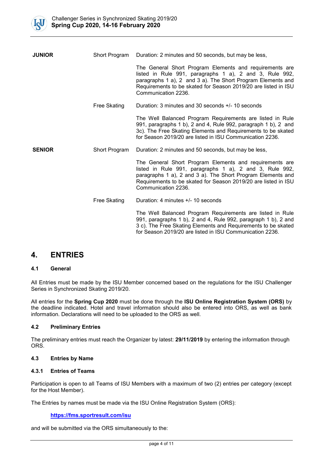

| <b>JUNIOR</b> | Short Program       | Duration: 2 minutes and 50 seconds, but may be less,                                                                                                                                                                                                                       |  |
|---------------|---------------------|----------------------------------------------------------------------------------------------------------------------------------------------------------------------------------------------------------------------------------------------------------------------------|--|
|               |                     | The General Short Program Elements and requirements are<br>listed in Rule 991, paragraphs 1 a), 2 and 3, Rule 992,<br>paragraphs 1 a), 2 and 3 a). The Short Program Elements and<br>Requirements to be skated for Season 2019/20 are listed in ISU<br>Communication 2236. |  |
|               | <b>Free Skating</b> | Duration: 3 minutes and 30 seconds +/- 10 seconds                                                                                                                                                                                                                          |  |
|               |                     | The Well Balanced Program Requirements are listed in Rule<br>991, paragraphs 1 b), 2 and 4, Rule 992, paragraph 1 b), 2 and<br>3c). The Free Skating Elements and Requirements to be skated<br>for Season 2019/20 are listed in ISU Communication 2236.                    |  |
| <b>SENIOR</b> | Short Program       | Duration: 2 minutes and 50 seconds, but may be less,                                                                                                                                                                                                                       |  |
|               |                     | The General Short Program Elements and requirements are<br>listed in Rule 991, paragraphs 1 a), 2 and 3, Rule 992,<br>paragraphs 1 a), 2 and 3 a). The Short Program Elements and<br>Requirements to be skated for Season 2019/20 are listed in ISU<br>Communication 2236. |  |
|               | Free Skating        | Duration: 4 minutes +/- 10 seconds                                                                                                                                                                                                                                         |  |
|               |                     | The Well Balanced Program Requirements are listed in Rule<br>991, paragraphs 1 b), 2 and 4, Rule 992, paragraph 1 b), 2 and<br>3 c). The Free Skating Elements and Requirements to be skated<br>for Season 2019/20 are listed in ISU Communication 2236.                   |  |

## **4. ENTRIES**

### **4.1 General**

All Entries must be made by the ISU Member concerned based on the regulations for the ISU Challenger Series in Synchronized Skating 2019/20.

All entries for the **Spring Cup 2020** must be done through the **ISU Online Registration System (ORS)** by the deadline indicated. Hotel and travel information should also be entered into ORS, as well as bank information. Declarations will need to be uploaded to the ORS as well.

### **4.2 Preliminary Entries**

The preliminary entries must reach the Organizer by latest: **29/11/2019** by entering the information through ORS.

## **4.3 Entries by Name**

### **4.3.1 Entries of Teams**

Participation is open to all Teams of ISU Members with a maximum of two (2) entries per category (except for the Host Member).

The Entries by names must be made via the ISU Online Registration System (ORS):

#### **<https://fms.sportresult.com/isu>**

and will be submitted via the ORS simultaneously to the: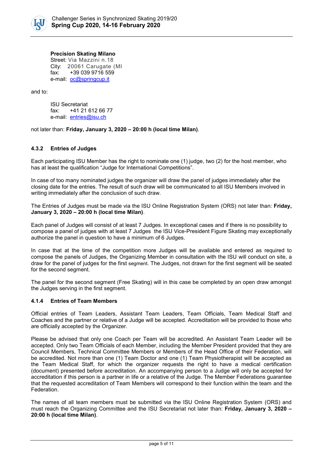

#### **Precision Skating Milano**

Street: Via Mazzini n.18 City: 20061 Carugate (MI fax: +39 039 9716 559 e-mail: [oc@springcup.it](mailto:oc@springcup.it)

and to:

ISU Secretariat fax: +41 21 612 66 77 e-mail: [entries@isu.ch](mailto:entries@isu.ch)

not later than: **Friday, January 3, 2020 – 20:00 h (local time Milan)**.

## **4.3.2 Entries of Judges**

Each participating ISU Member has the right to nominate one (1) judge, two (2) for the host member, who has at least the qualification "Judge for International Competitions".

In case of too many nominated judges the organizer will draw the panel of judges immediately after the closing date for the entries. The result of such draw will be communicated to all ISU Members involved in writing immediately after the conclusion of such draw.

The Entries of Judges must be made via the ISU Online Registration System (ORS) not later than: **Friday, January 3, 2020 – 20:00 h (local time Milan)**.

Each panel of Judges will consist of at least 7 Judges. In exceptional cases and if there is no possibility to compose a panel of judges with at least 7 Judges the ISU Vice-President Figure Skating may exceptionally authorize the panel in question to have a minimum of 6 Judges.

In case that at the time of the competition more Judges will be available and entered as required to compose the panels of Judges, the Organizing Member in consultation with the ISU will conduct on site, a draw for the panel of judges for the first segment. The Judges, not drawn for the first segment will be seated for the second segment.

The panel for the second segment (Free Skating) will in this case be completed by an open draw amongst the Judges serving in the first segment.

#### **4.1.4 Entries of Team Members**

Official entries of Team Leaders, Assistant Team Leaders, Team Officials, Team Medical Staff and Coaches and the partner or relative of a Judge will be accepted. Accreditation will be provided to those who are officially accepted by the Organizer.

Please be advised that only one Coach per Team will be accredited. An Assistant Team Leader will be accepted. Only two Team Officials of each Member, including the Member President provided that they are Council Members, Technical Committee Members or Members of the Head Office of their Federation, will be accredited. Not more than one (1) Team Doctor and one (1) Team Physiotherapist will be accepted as the Team Medical Staff, for which the organizer requests the right to have a medical certification (document) presented before accreditation. An accompanying person to a Judge will only be accepted for accreditation if this person is a partner in life or a relative of the Judge. The Member Federations guarantee that the requested accreditation of Team Members will correspond to their function within the team and the Federation.

The names of all team members must be submitted via the ISU Online Registration System (ORS) and must reach the Organizing Committee and the ISU Secretariat not later than: **Friday, January 3, 2020 – 20:00 h (local time Milan)**.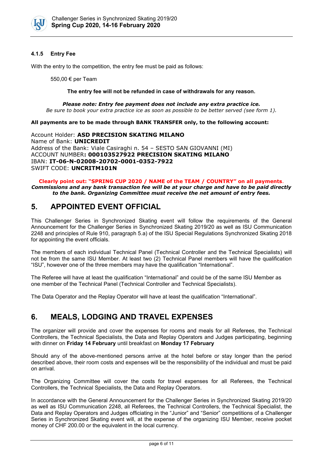

### **4.1.5 Entry Fee**

With the entry to the competition, the entry fee must be paid as follows:

550,00 € per Team

#### **The entry fee will not be refunded in case of withdrawals for any reason.**

*Please note: Entry fee payment does not include any extra practice ice. Be sure to book your extra practice ice as soon as possible to be better served (see form 1).*

#### **All payments are to be made through BANK TRANSFER only, to the following account:**

Account Holder: **ASD PRECISION SKATING MILANO** Name of Bank: **UNICREDIT** Address of the Bank: Viale Casiraghi n. 54 – SESTO SAN GIOVANNI (MI) ACCOUNT NUMBER**: 000103527922 PRECISION SKATING MILANO** IBAN: **IT-06-N-02008-20702-0001-0352-7922** SWIFT CODE: **UNCRITM101N**

#### **Clearly point out: "SPRING CUP 2020 / NAME of the TEAM / COUNTRY" on all payments**. *Commissions and any bank transaction fee will be at your charge and have to be paid directly to the bank. Organizing Committee must receive the net amount of entry fees.*

## **5. APPOINTED EVENT OFFICIAL**

This Challenger Series in Synchronized Skating event will follow the requirements of the General Announcement for the Challenger Series in Synchronized Skating 2019/20 as well as ISU Communication 2248 and principles of Rule 910, paragraph 5.a) of the ISU Special Regulations Synchronized Skating 2018 for appointing the event officials.

The members of each individual Technical Panel (Technical Controller and the Technical Specialists) will not be from the same ISU Member. At least two (2) Technical Panel members will have the qualification "ISU", however one of the three members may have the qualification "International".

The Referee will have at least the qualification "International" and could be of the same ISU Member as one member of the Technical Panel (Technical Controller and Technical Specialists).

The Data Operator and the Replay Operator will have at least the qualification "International".

## **6. MEALS, LODGING AND TRAVEL EXPENSES**

The organizer will provide and cover the expenses for rooms and meals for all Referees, the Technical Controllers, the Technical Specialists, the Data and Replay Operators and Judges participating, beginning with dinner on **Friday 14 February** until breakfast on **Monday 17 February**

Should any of the above-mentioned persons arrive at the hotel before or stay longer than the period described above, their room costs and expenses will be the responsibility of the individual and must be paid on arrival.

The Organizing Committee will cover the costs for travel expenses for all Referees, the Technical Controllers, the Technical Specialists, the Data and Replay Operators.

In accordance with the General Announcement for the Challenger Series in Synchronized Skating 2019/20 as well as ISU Communication 2248, all Referees, the Technical Controllers, the Technical Specialist, the Data and Replay Operators and Judges officiating in the "Junior" and "Senior" competitions of a Challenger Series in Synchronized Skating event will, at the expense of the organizing ISU Member, receive pocket money of CHF 200.00 or the equivalent in the local currency.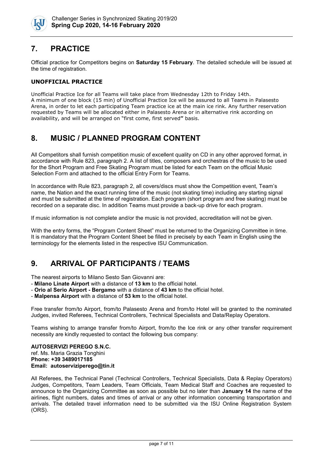

## **7. PRACTICE**

Official practice for Competitors begins on **Saturday 15 February**. The detailed schedule will be issued at the time of registration.

## **UNOFFICIAL PRACTICE**

Unofficial Practice Ice for all Teams will take place from Wednesday 12th to Friday 14th. A minimum of one block (15 min) of Unofficial Practice Ice will be assured to all Teams in Palasesto Arena, in order to let each participating Team practice ice at the main ice rink. Any further reservation requested by Teams will be allocated either in Palasesto Arena or in alternative rink according on availability, and will be arranged on "first come, first served**"** basis.

## **8. MUSIC / PLANNED PROGRAM CONTENT**

All Competitors shall furnish competition music of excellent quality on CD in any other approved format, in accordance with Rule 823, paragraph 2. A list of titles, composers and orchestras of the music to be used for the Short Program and Free Skating Program must be listed for each Team on the official Music Selection Form and attached to the official Entry Form for Teams.

In accordance with Rule 823, paragraph 2, all covers/discs must show the Competition event, Team's name, the Nation and the exact running time of the music (not skating time) including any starting signal and must be submitted at the time of registration. Each program (short program and free skating) must be recorded on a separate disc. In addition Teams must provide a back-up drive for each program.

If music information is not complete and/or the music is not provided, accreditation will not be given.

With the entry forms, the "Program Content Sheet" must be returned to the Organizing Committee in time. It is mandatory that the Program Content Sheet be filled in precisely by each Team in English using the terminology for the elements listed in the respective ISU Communication.

## **9. ARRIVAL OF PARTICIPANTS / TEAMS**

The nearest airports to Milano Sesto San Giovanni are:

- **Milano Linate Airport** with a distance of **13 km** to the official hotel.
- **Orio al Serio Airport - Bergamo** with a distance of **43 km** to the official hotel.
- **Malpensa Airport** with a distance of **53 km** to the official hotel.

Free transfer from/to Airport, from/to Palasesto Arena and from/to Hotel will be granted to the nominated Judges, invited Referees, Technical Controllers, Technical Specialists and Data/Replay Operators.

Teams wishing to arrange transfer from/to Airport, from/to the Ice rink or any other transfer requirement necessity are kindly requested to contact the following bus company:

#### **AUTOSERVIZI PEREGO S.N.C.** ref. Ms. Maria Grazia Tonghini **Phone: +39 3489017185 Email: autoserviziperego@tin.it**

All Referees, the Technical Panel (Technical Controllers, Technical Specialists, Data & Replay Operators) Judges, Competitors, Team Leaders, Team Officials, Team Medical Staff and Coaches are requested to announce to the Organizing Committee as soon as possible but no later than **January 14** the name of the airlines, flight numbers, dates and times of arrival or any other information concerning transportation and arrivals. The detailed travel information need to be submitted via the ISU Online Registration System (ORS).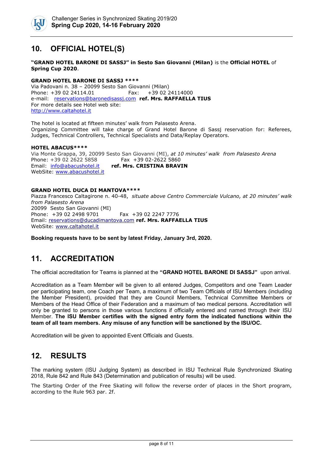

## **10. OFFICIAL HOTEL(S)**

#### **"GRAND HOTEL BARONE DI SASSJ" in Sesto San Giovanni (Milan)** is the **Official HOTEL** of **Spring Cup 2020**.

#### **GRAND HOTEL BARONE DI SASSJ \*\*\*\***

Via Padovani n. 38 – 20099 Sesto San Giovanni (Milan)  $Fax: +390224114000$ e-mail: [reservations@baronedisassj.com](mailto:reservations@baronedisassj.com) **ref. Mrs. RAFFAELLA TIUS**  For more details see Hotel web site: [http://www.caltahotel.it](http://www.caltahotel.it/)

The hotel is located at fifteen minutes' walk from Palasesto Arena. Organizing Committee will take charge of Grand Hotel Barone di Sassj reservation for: Referees, Judges, Technical Controllers, Technical Specialists and Data/Replay Operators.

#### **HOTEL ABACUS\*\*\*\***

Via Monte Grappa, 39, 20099 Sesto San Giovanni (MI), *at 10 minutes' walk from Palasesto Arena* Phone: +39 02 2622 [5858](tel:+390226225858)<br>Email: info@abacushotel.it  $ref. Mrs. CRISTINA BRAVIN$ WebSite: [www.abacushotel.it](https://www.abacushotel.it/)

#### **GRAND HOTEL DUCA DI MANTOVA\*\*\*\***

Piazza Francesco Caltagirone n. 40-48, *situate above Centro Commerciale Vulcano, at 20 minutes' walk from Palasesto Arena* 20099 Sesto San Giovanni (MI) Phone: +39 02 2498 9701 Fax +39 02 2247 7776 Email: [reservations@ducadimantova.com](mailto:reservations@ducadimantova.com) **ref. Mrs. RAFFAELLA TIUS** WebSite: [www.caltahotel.it](http://www.caltahotel.it/) 

**Booking requests have to be sent by latest Friday, January 3rd, 2020.**

## **11. ACCREDITATION**

The official accreditation for Teams is planned at the **"GRAND HOTEL BARONE DI SASSJ"** upon arrival.

Accreditation as a Team Member will be given to all entered Judges, Competitors and one Team Leader per participating team, one Coach per Team, a maximum of two Team Officials of ISU Members (including the Member President), provided that they are Council Members, Technical Committee Members or Members of the Head Office of their Federation and a maximum of two medical persons. Accreditation will only be granted to persons in those various functions if officially entered and named through their ISU Member. **The ISU Member certifies with the signed entry form the indicated functions within the team of all team members. Any misuse of any function will be sanctioned by the ISU/OC.**

Accreditation will be given to appointed Event Officials and Guests.

## **12. RESULTS**

The marking system (ISU Judging System) as described in ISU Technical Rule Synchronized Skating 2018, Rule 842 and Rule 843 (Determination and publication of results) will be used.

The Starting Order of the Free Skating will follow the reverse order of places in the Short program, according to the Rule 963 par. 2f.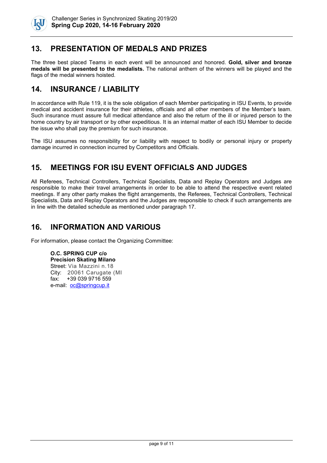

## **13. PRESENTATION OF MEDALS AND PRIZES**

The three best placed Teams in each event will be announced and honored. **Gold, silver and bronze medals will be presented to the medalists.** The national anthem of the winners will be played and the flags of the medal winners hoisted.

## **14. INSURANCE / LIABILITY**

In accordance with Rule 119, it is the sole obligation of each Member participating in ISU Events, to provide medical and accident insurance for their athletes, officials and all other members of the Member's team. Such insurance must assure full medical attendance and also the return of the ill or injured person to the home country by air transport or by other expeditious. It is an internal matter of each ISU Member to decide the issue who shall pay the premium for such insurance.

The ISU assumes no responsibility for or liability with respect to bodily or personal injury or property damage incurred in connection incurred by Competitors and Officials.

## **15. MEETINGS FOR ISU EVENT OFFICIALS AND JUDGES**

All Referees, Technical Controllers, Technical Specialists, Data and Replay Operators and Judges are responsible to make their travel arrangements in order to be able to attend the respective event related meetings. If any other party makes the flight arrangements, the Referees, Technical Controllers, Technical Specialists, Data and Replay Operators and the Judges are responsible to check if such arrangements are in line with the detailed schedule as mentioned under paragraph 17.

## **16. INFORMATION AND VARIOUS**

For information, please contact the Organizing Committee:

**O.C. SPRING CUP c/o Precision Skating Milano** Street: Via Mazzini n.18 City: 20061 Carugate (MI fax: +39 039 9716 559 e-mail: [oc@springcup.it](mailto:oc@springcup.it)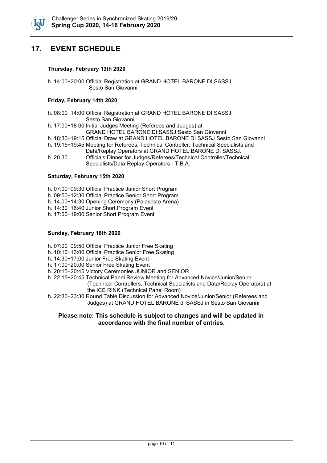

## **17. EVENT SCHEDULE**

#### **Thursday, February 13th 2020**

h. 14:00÷20:00 Official Registration at GRAND HOTEL BARONE DI SASSJ Sesto San Giovanni

#### **Friday, February 14th 2020**

- h. 08:00÷14:00 Official Registration at GRAND HOTEL BARONE DI SASSJ
	- Sesto San Giovanni
- h. 17:00÷18 00 Initial Judges Meeting (Referees and Judges) at
- GRAND HOTEL BARONE DI SASSJ Sesto San Giovanni
- h. 18:30÷19:15 Official Draw at GRAND HOTEL BARONE DI SASSJ Sesto San Giovanni
- h. 19:15÷19:45 Meeting for Referees, Technical Controller, Technical Specialists and Data/Replay Operators at GRAND HOTEL BARONE DI SASSJ.
- h. 20.30 Officials Dinner for Judges/Referees/Technical Controller/Technical Specialists/Data-Replay Operators - T.B.A.

### **Saturday, February 15th 2020**

- h. 07:00÷09:30 Official Practice Junior Short Program
- h. 09:50÷12:30 Official Practice Senior Short Program
- h. 14.00÷14:30 Opening Ceremony (Palasesto Arena)
- h. 14:30÷16:40 Junior Short Program Event
- h. 17:00÷19:00 Senior Short Program Event

#### **Sunday, February 16th 2020**

- h. 07:00÷09:50 Official Practice Junior Free Skating
- h. 10:10÷13:00 Official Practice Senior Free Skating
- h. 14:30÷17:00 Junior Free Skating Event
- h. 17:00÷20.00 Senior Free Skating Event
- h. 20:15÷20:45 Victory Ceremonies JUNIOR and SENIOR

h. 22.15÷20:45 Technical Panel Review Meeting for Advanced Novice/Junior/Senior (Technical Controllers, Technical Specialists and Data/Replay Operators) at the ICE RINK (Technical Panel Room)

h. 22:30÷23:30 Round Table Discussion for Advanced Novice/Junior/Senior (Referees and Judges) at GRAND HOTEL BARONE di SASSJ in Sesto San Giovanni

### **Please note: This schedule is subject to changes and will be updated in accordance with the final number of entries.**